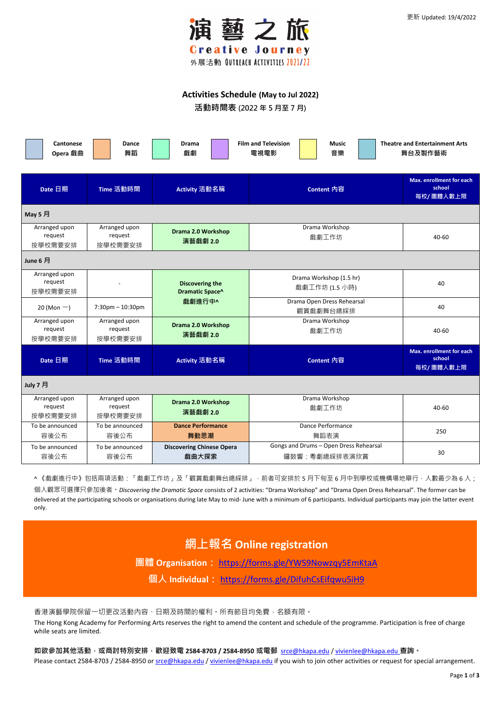

Page **1** of **3**

### **Activities Schedule (May to Jul 2022)**

**活動時間表 (2022 年 5 月至 7 月)**

| Cantonese<br>Opera 戲曲               | <b>Dance</b><br>舞蹈                  | <b>Drama</b><br>戲劇                        | <b>Film and Television</b><br><b>Music</b><br>電視電影<br>音樂 | <b>Theatre and Entertainment Arts</b><br>舞台及製作藝術       |  |  |
|-------------------------------------|-------------------------------------|-------------------------------------------|----------------------------------------------------------|--------------------------------------------------------|--|--|
| Date 日期                             | Time 活動時間                           | Activity 活動名稱                             | Content 内容                                               | <b>Max. enrollment for each</b><br>school<br>每校/團體人數上限 |  |  |
| May 5 月                             |                                     |                                           |                                                          |                                                        |  |  |
| Arranged upon<br>request<br>按學校需要安排 | Arranged upon<br>request<br>按學校需要安排 | <b>Drama 2.0 Workshop</b><br>演藝戲劇 2.0     | Drama Workshop<br>戲劇工作坊                                  | 40-60                                                  |  |  |
| June 6 月                            |                                     |                                           |                                                          |                                                        |  |  |
| Arranged upon<br>request<br>按學校需要安排 |                                     | <b>Discovering the</b><br>Dramatic Space^ | Drama Workshop (1.5 hr)<br>戲劇工作坊 (1.5 小時)                | 40                                                     |  |  |
| 20 (Mon $-$ )                       | $7:30$ pm $-10:30$ pm               | 戲劇進行中^                                    | Drama Open Dress Rehearsal<br>觀賞戲劇舞台總綵排                  | 40                                                     |  |  |
| Arranged upon<br>request<br>按學校需要安排 | Arranged upon<br>request<br>按學校需要安排 | <b>Drama 2.0 Workshop</b><br>演藝戲劇 2.0     | Drama Workshop<br>戲劇工作坊                                  | 40-60                                                  |  |  |
| Date 日期                             | Time 活動時間                           | Activity 活動名稱                             | Content 內容                                               | <b>Max. enrollment for each</b><br>school<br>每校/團體人數上限 |  |  |
| July 7 月                            |                                     |                                           |                                                          |                                                        |  |  |
| Arranged upon<br>request<br>按學校需要安排 | Arranged upon<br>request<br>按學校需要安排 | Drama 2.0 Workshop<br>演藝戲劇 2.0            | Drama Workshop<br>戲劇工作坊                                  | 40-60                                                  |  |  |
| To be announced<br>容後公布             | To be announced<br>容後公布             | <b>Dance Performance</b><br>舞動思潮          | Dance Performance<br>舞蹈表演                                | 250                                                    |  |  |
| To be announced<br>容後公布             | To be announced<br>容後公布             | <b>Discovering Chinese Opera</b><br>戲曲大探索 | Gongs and Drums - Open Dress Rehearsal<br>鑼鼓響:粵劇總綵排表演欣賞  | 30                                                     |  |  |

^ 《戲劇進行中》包括兩項活動:「戲劇工作坊」及「觀賞戲劇舞台總綵排」, 前者可安排於 5 月下旬至 6 月中到學校或機構場地舉行, 人數最少為 6 人;

**如欲參加其他活動,或商討特別安排,歡迎致電 2584-8703 / 2584-8950 或電郵** [srce@hkapa.edu](mailto:srce@hkapa.edu) [/ vivienlee@hkapa.edu](mailto:vivienlee@hkapa.edu) **查詢。** Please contact 2584-8703 / 2584-8950 or [srce@hkapa.edu](mailto:srce@hkapa.edu) / [vivienlee@hkapa.edu](mailto:vivienlee@hkapa.edu) if you wish to join other activities or request for special arrangement.

個人觀眾可選擇只參加後者。*Discovering the Dramatic Space* consists of 2 activities: "Drama Workshop" and "Drama Open Dress Rehearsal". The former can be delivered at the participating schools or organisations during late May to mid- June with a minimum of 6 participants. Individual participants may join the latter event only.

# **網上報名 Online registration**

**團體 Organisation:** <https://forms.gle/YWS9Nowzqy5EmKtaA> **個人 Individual:** <https://forms.gle/DifuhCsEifqwu5iH9>

#### 香港演藝學院保留一切更改活動內容、日期及時間的權利。所有節目均免費,名額有限。

The Hong Kong Academy for Performing Arts reserves the right to amend the content and schedule of the programme. Participation is free of charge while seats are limited.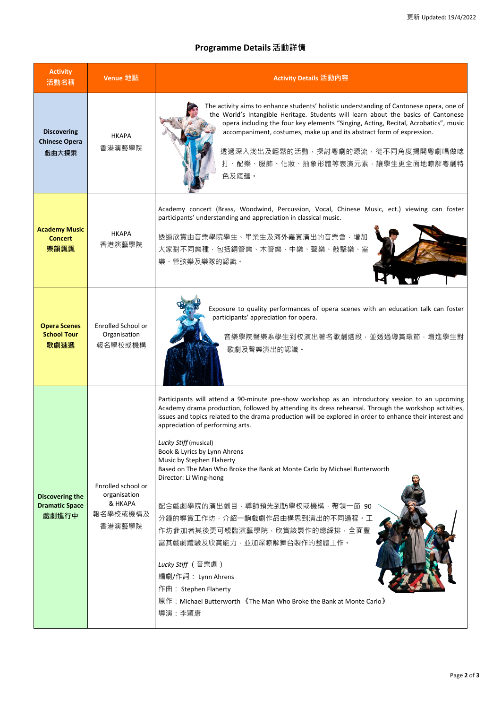## **Programme Details 活動詳情**

| <b>Activity</b><br>活動名稱                                  | Venue 地點                                                            | Activity Details 活動內容                                                                                                                                                                                                                                                                                                                                                                                                                                                                                                                                                                                                                                          |  |  |
|----------------------------------------------------------|---------------------------------------------------------------------|----------------------------------------------------------------------------------------------------------------------------------------------------------------------------------------------------------------------------------------------------------------------------------------------------------------------------------------------------------------------------------------------------------------------------------------------------------------------------------------------------------------------------------------------------------------------------------------------------------------------------------------------------------------|--|--|
| <b>Discovering</b><br><b>Chinese Opera</b><br>戲曲大探索      | <b>HKAPA</b><br>香港演藝學院                                              | The activity aims to enhance students' holistic understanding of Cantonese opera, one of<br>the World's Intangible Heritage. Students will learn about the basics of Cantonese<br>opera including the four key elements "Singing, Acting, Recital, Acrobatics", music<br>accompaniment, costumes, make up and its abstract form of expression.<br>透過深入淺出及輕鬆的活動,探討粵劇的源流,從不同角度揭開粵劇唱做唸<br>打、配樂、服飾、化妝、抽象形體等表演元素,讓學生更全面地瞭解粵劇特<br>色及底蘊。                                                                                                                                                                                                                              |  |  |
| <b>Academy Music</b><br><b>Concert</b><br>樂韻飄飄           | <b>HKAPA</b><br>香港演藝學院                                              | Academy concert (Brass, Woodwind, Percussion, Vocal, Chinese Music, ect.) viewing can foster<br>participants' understanding and appreciation in classical music.<br>透過欣賞由音樂學院學生、畢業生及海外嘉賓演出的音樂會,增加<br>大家對不同樂種,包括銅管樂、木管樂、中樂、聲樂、敲擊樂、室<br>樂、管弦樂及樂隊的認識。                                                                                                                                                                                                                                                                                                                                                                                                             |  |  |
| <b>Opera Scenes</b><br><b>School Tour</b><br>歌劇速遞        | <b>Enrolled School or</b><br>Organisation<br>報名學校或機構                | Exposure to quality performances of opera scenes with an education talk can foster<br>participants' appreciation for opera.<br>音樂學院聲樂系學生到校演出著名歌劇選段,並透過導賞環節,增進學生對<br>歌劇及聲樂演出的認識。                                                                                                                                                                                                                                                                                                                                                                                                                                                                                |  |  |
| <b>Discovering the</b><br><b>Dramatic Space</b><br>戲劇進行中 | Enrolled school or<br>organisation<br>& HKAPA<br>報名學校或機構及<br>香港演藝學院 | Participants will attend a 90-minute pre-show workshop as an introductory session to an upcoming<br>Academy drama production, followed by attending its dress rehearsal. Through the workshop activities,<br>issues and topics related to the drama production will be explored in order to enhance their interest and<br>appreciation of performing arts.<br>Lucky Stiff (musical)<br>Book & Lyrics by Lynn Ahrens<br>Music by Stephen Flaherty<br>Based on The Man Who Broke the Bank at Monte Carlo by Michael Butterworth<br>Director: Li Wing-hong<br>配合戲劇學院的演出劇目,導師預先到訪學校或機構,帶領一節 90<br>分鐘的導賞工作坊, 介紹一齣戲劇作品由構思到演出的不同過程。工<br>作坊參加者其後更可親臨演藝學院,欣賞該製作的總綵排,全面豐 |  |  |